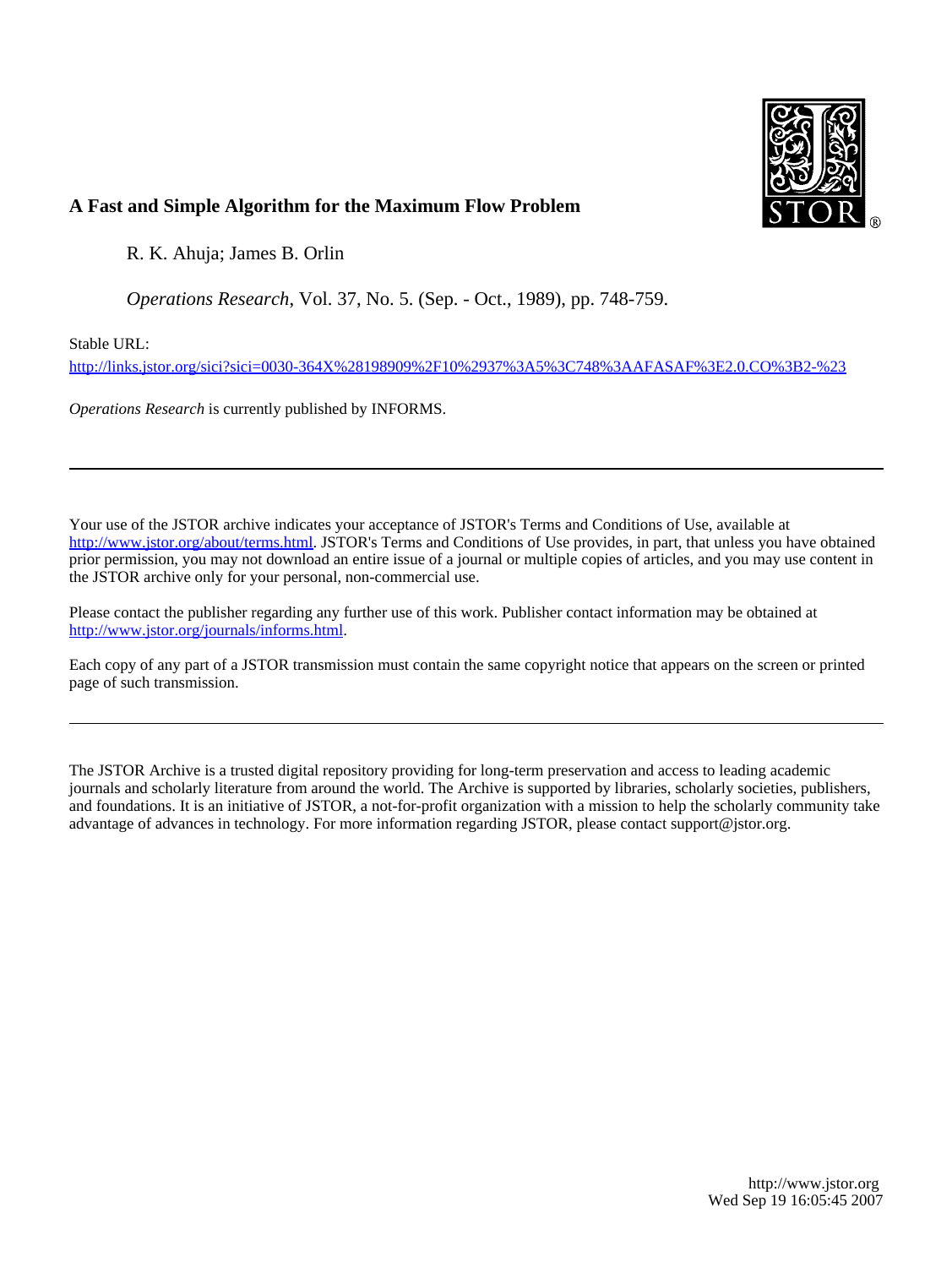

## **A Fast and Simple Algorithm for the Maximum Flow Problem**

R. K. Ahuja; James B. Orlin

*Operations Research*, Vol. 37, No. 5. (Sep. - Oct., 1989), pp. 748-759.

Stable URL:

<http://links.jstor.org/sici?sici=0030-364X%28198909%2F10%2937%3A5%3C748%3AAFASAF%3E2.0.CO%3B2-%23>

*Operations Research* is currently published by INFORMS.

Your use of the JSTOR archive indicates your acceptance of JSTOR's Terms and Conditions of Use, available at [http://www.jstor.org/about/terms.html.](http://www.jstor.org/about/terms.html) JSTOR's Terms and Conditions of Use provides, in part, that unless you have obtained prior permission, you may not download an entire issue of a journal or multiple copies of articles, and you may use content in the JSTOR archive only for your personal, non-commercial use.

Please contact the publisher regarding any further use of this work. Publisher contact information may be obtained at [http://www.jstor.org/journals/informs.html.](http://www.jstor.org/journals/informs.html)

Each copy of any part of a JSTOR transmission must contain the same copyright notice that appears on the screen or printed page of such transmission.

The JSTOR Archive is a trusted digital repository providing for long-term preservation and access to leading academic journals and scholarly literature from around the world. The Archive is supported by libraries, scholarly societies, publishers, and foundations. It is an initiative of JSTOR, a not-for-profit organization with a mission to help the scholarly community take advantage of advances in technology. For more information regarding JSTOR, please contact support@jstor.org.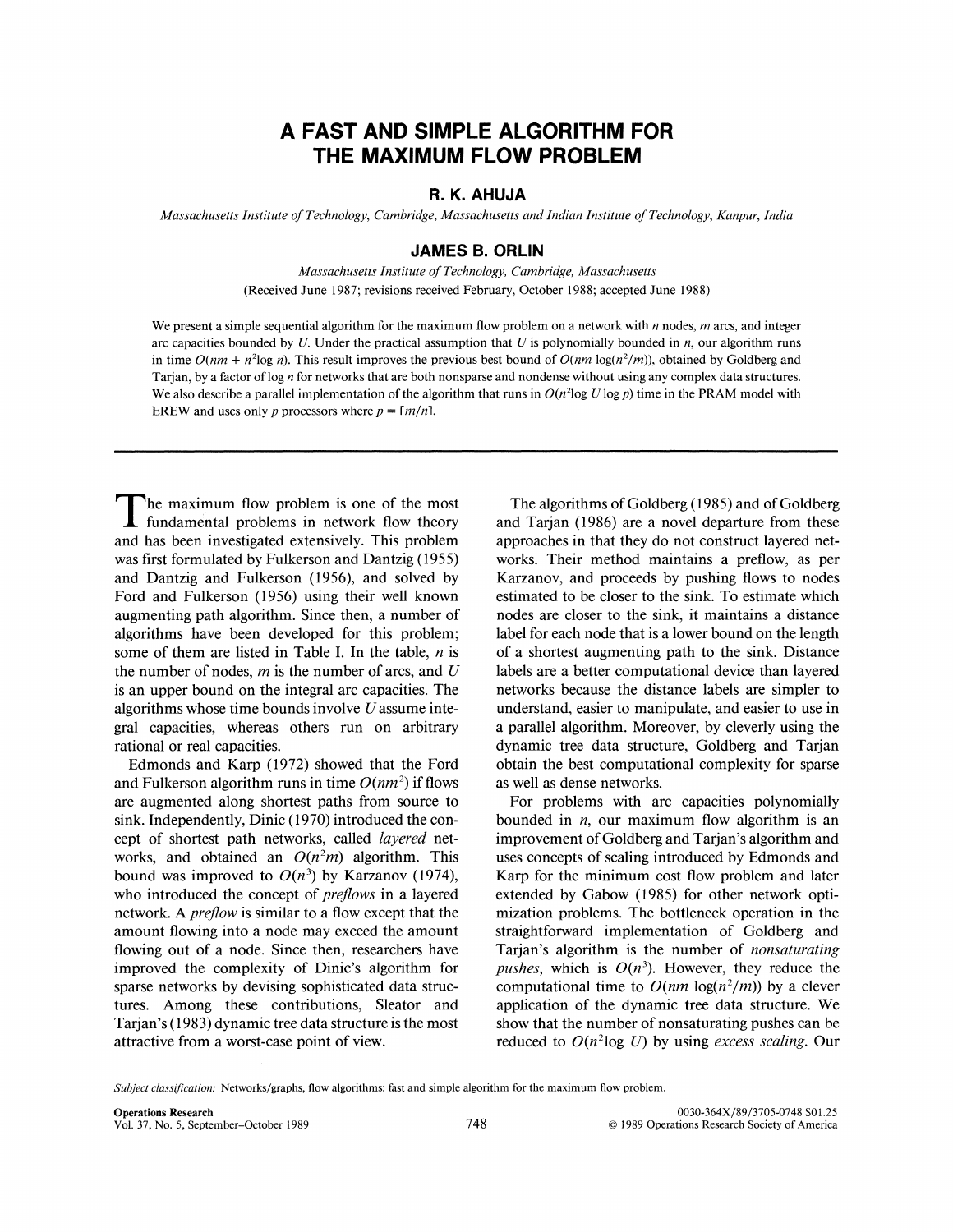# **A FAST AND SIMPLE ALGORITHM FOR THE MAXIMUM FLOW PROBLEM**

### **R. K. AHUJA**

*Massachusetts Institute of Technology. Cambridge, Massachusetts and Indian Institute of Technology, Kanpur. India* 

#### **JAMES B. ORLlN**

*Massachusetts Institute of Technology, Cambridge, Massachusetts (Received June 1987; revisions received February, October 1988; accepted June 1988)* 

We present a simple sequential algorithm for the maximum flow problem on a network with *n* nodes, *m* arcs, and integer *arc capacities bounded by U. Under the practical assumption that U is polynomially bounded in n, our algorithm runs* in time  $O(nm + n^2 \log n)$ . This result improves the previous best bound of  $O(nm \log(n^2/m))$ , obtained by Goldberg and *Tarjan, by a factor of log n for networks that are both nonsparse and nondense without using any complex data structures.*  We also describe a parallel implementation of the algorithm that runs in  $O(n^2 \log U \log p)$  time in the PRAM model with *EREW* and uses only *p* processors where  $p = \lceil m/n \rceil$ .

The maximum flow problem is one of the most fundamental problems in network flow theory and has been investigated extensively. This problem was first formulated by Fulkerson and Dantzig *(1955)*  and Dantzig and Fulkerson *(1956),* and solved by Ford and Fulkerson *(1956)* using their well known augmenting path algorithm. Since then, a number of algorithms have been developed for this problem; some of them are listed in Table I. In the table, *n* is the number of nodes, *m* is the number of arcs, and *U*  is an upper bound on the integral arc capacities. The algorithms whose time bounds involve *U* assume integral capacities, whereas others run on arbitrary rational or real capacities.

Edmonds and Karp *(1972)* showed that the Ford and Fulkerson algorithm runs in time  $O(nm^2)$  if flows are augmented along shortest paths from source to sink. Independently, Dinic (1970) introduced the concept of shortest path networks, called *layered* networks, and obtained an  $O(n^2m)$  algorithm. This bound was improved to  $O(n^3)$  by Karzanov (1974), who introduced the concept of *prejows* in a layered network. A *prejlow* is similar to a flow except that the amount flowing into a node may exceed the amount flowing out of a node. Since then, researchers have improved the complexity of Dinic's algorithm for sparse networks by devising sophisticated data structures. Among these contributions, Sleator and Tarjan's *(1 983)*dynamic tree data structure is the most attractive from a worst-case point of view.

The algorithms of Goldberg *(1985)*and of Goldberg and Tarjan *(1986)*are a novel departure from these approaches in that they do not construct layered networks. Their method maintains a preflow, as per Karzanov, and proceeds by pushing flows to nodes estimated to be closer to the sink. To estimate which nodes are closer to the sink, it maintains a distance label for each node that is a lower bound on the length of a shortest augmenting path to the sink. Distance labels are a better computational device than layered networks because the distance labels are simpler to understand, easier to manipulate, and easier to use in a parallel algorithm. Moreover, by cleverly using the dynamic tree data structure, Goldberg and Tarjan obtain the best computational complexity for sparse as well as dense networks.

For problems with arc capacities polynomially bounded in *n,* our maximum flow algorithm is an improvement of Goldberg and Tarjan's algorithm and uses concepts of scaling introduced by Edmonds and Karp for the minimum cost flow problem and later extended by Gabow *(1985)* for other network optimization problems. The bottleneck operation in the straightforward implementation of Goldberg and Tarjan's algorithm is the number of *nonsuturating pushes,* which is  $O(n^3)$ . However, they reduce the computational time to  $O(nm \log(n^2/m))$  by a clever application of the dynamic tree data structure. We show that the number of nonsaturating pushes can be reduced to  $O(n^2 \log U)$  by using *excess scaling*. Our

*Subject classification:* Networks/graphs, flow algorithms: fast and simple algorithm for the maximum flow problem.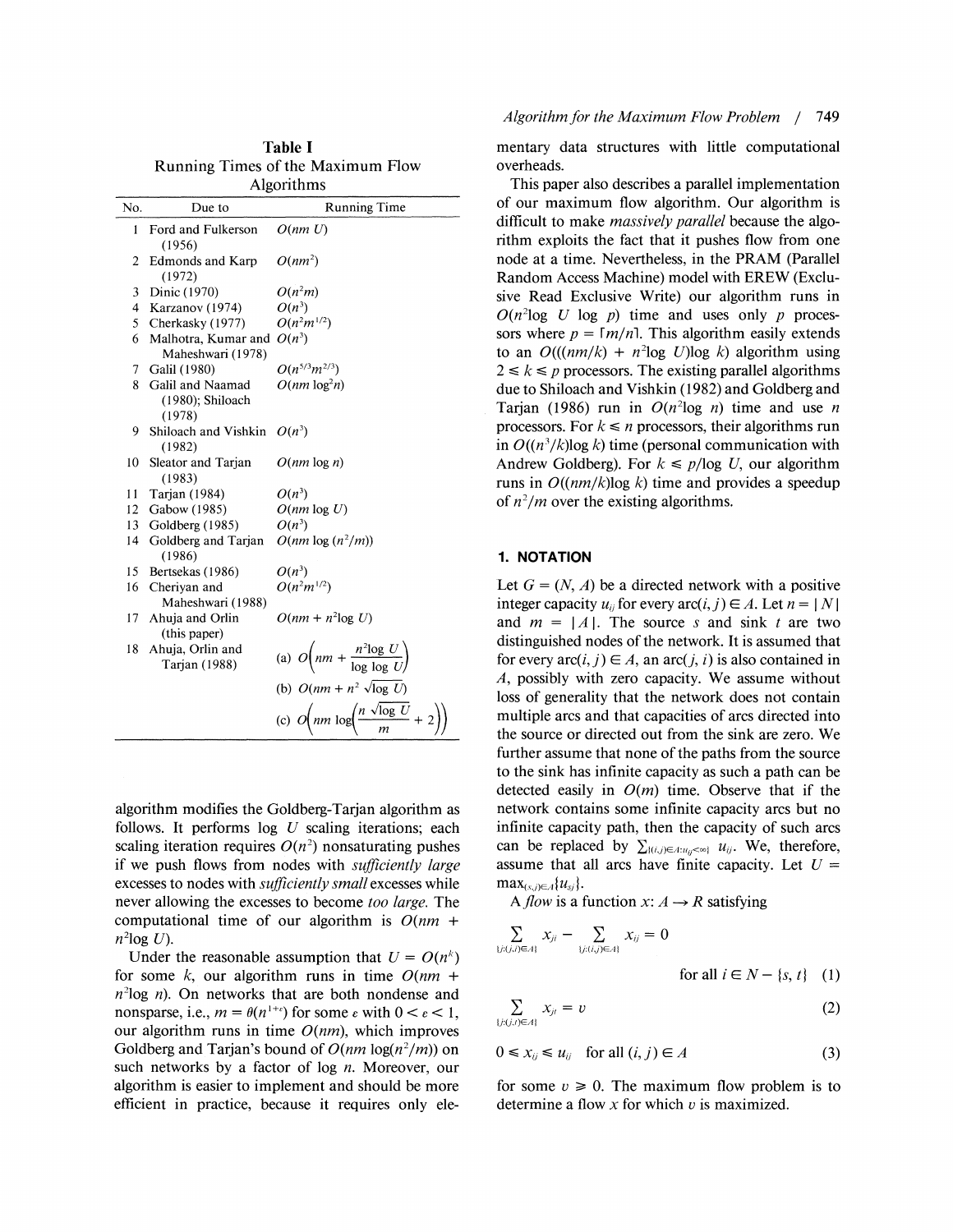| кинниз типсо от не малиции том<br>Algorithms |                                                   |                                                                        |
|----------------------------------------------|---------------------------------------------------|------------------------------------------------------------------------|
| No.                                          | Due to                                            | <b>Running Time</b>                                                    |
| 1                                            | Ford and Fulkerson<br>(1956)                      | O(nm U)                                                                |
| $\overline{2}$                               | <b>Edmonds and Karp</b><br>(1972)                 | $O(nm^2)$                                                              |
| 3                                            | Dinic (1970)                                      | $O(n^2m)$                                                              |
| $\overline{4}$                               | Karzanov (1974)                                   | $O(n^3)$                                                               |
| 5                                            | Cherkasky (1977)                                  | $O(n^2m^{1/2})$                                                        |
| 6                                            | Malhotra, Kumar and $O(n^3)$<br>Maheshwari (1978) |                                                                        |
| 7                                            | Galil (1980)                                      | $O(n^{5/3}m^{2/3})$                                                    |
| 8                                            | Galil and Naamad<br>$(1980)$ ; Shiloach<br>(1978) | $O(nm \log^2 n)$                                                       |
| 9                                            | Shiloach and Vishkin $O(n^3)$<br>(1982)           |                                                                        |
| 10                                           | Sleator and Tarjan<br>(1983)                      | $O(nm \log n)$                                                         |
| 11                                           | Tarjan (1984)                                     | $O(n^3)$                                                               |
| 12                                           | Gabow (1985)                                      | $O(nm \log U)$                                                         |
| 13                                           | Goldberg (1985)                                   | $O(n^3)$                                                               |
| 14                                           | Goldberg and Tarjan<br>(1986)                     | $O(nm \log(n^2/m))$                                                    |
| 15                                           | Bertsekas (1986)                                  | $O(n^3)$                                                               |
| 16                                           | Cheriyan and<br>Maheshwari (1988)                 | $O(n^2m^{1/2})$                                                        |
| 17                                           | Ahuja and Orlin<br>(this paper)                   | $O(nm + n^2 \log U)$                                                   |
| 18                                           | Ahuja, Orlin and<br>Tarjan (1988)                 | (a) $O\left(nm + \frac{n^2 \log U}{\log \log U}\right)$                |
|                                              |                                                   | (b) $O(nm + n^2 \sqrt{\log U})$                                        |
|                                              |                                                   | (c) $O\left(nm \log \left(\frac{n \sqrt{\log U}}{m}\right) + 2\right)$ |

**Table** I Running Times of the Maximum Flow

algorithm modifies the Goldberg-Tarjan algorithm as follows. It performs  $log U$  scaling iterations; each scaling iteration requires  $O(n^2)$  nonsaturating pushes if we push flows from nodes with *sufficiently large* excesses to nodes with *sufficiently small* excesses while never allowing the excesses to become *too large*. The computational time of our algorithm is  $O(nm +$  $n^2$ log U).

Under the reasonable assumption that  $U = O(n^k)$ for some k, our algorithm runs in time  $O(nm +$  $n^2$ log n). On networks that are both nondense and nonsparse, i.e.,  $m = \theta(n^{1+\epsilon})$  for some  $\epsilon$  with  $0 \leq \epsilon \leq 1$ , our algorithm runs in time  $O(nm)$ , which improves Goldberg and Tarjan's bound of  $O(nm \log(n^2/m))$  on such networks by a factor of  $log n$ . Moreover, our algorithm is easier to implement and should be more efficient in practice, because it requires only elementary data structures with little computational overheads.

This paper also describes a parallel implementation of our maximum flow algorithm. Our algorithm is difficult to make *massively parallel* because the algorithm exploits the fact that it pushes flow from one node at a time. Nevertheless, in the PRAM (Parallel Random Access Machine) model with EREW (Exclusive Read Exclusive Write) our algorithm runs in  $O(n^2 \log U \log p)$  time and uses only p processors where  $p = \lceil m/n \rceil$ . This algorithm easily extends to an  $O((\frac{nm}{k}) + n^2 \log U) \log k$ ) algorithm using  $2 \le k \le p$  processors. The existing parallel algorithms due to Shiloach and Vishkin (1982) and Goldberg and Tarjan (1986) run in  $O(n^2 \log n)$  time and use n processors. For  $k \leq n$  processors, their algorithms run in  $O((n^3/k) \log k)$  time (personal communication with Andrew Goldberg). For  $k \leq p/\log U$ , our algorithm runs in  $O((nm/k)\log k)$  time and provides a speedup of  $n^2/m$  over the existing algorithms.

#### **1. NOTATION**

Let  $G = (N, A)$  be a directed network with a positive integer capacity  $u_{ii}$  for every arc(*i*, *j*)  $\in$  *A*. Let  $n = |N|$ and  $m = |A|$ . The source s and sink t are two distinguished nodes of the network. It is assumed that for every  $\text{arc}(i, j) \in A$ , an  $\text{arc}(j, i)$  is also contained in A, possibly with zero capacity. We assume without loss of generality that the network does not contain multiple arcs and that capacities of arcs directed into the source or directed out from the sink are zero. We further assume that none of the paths from the source to the sink has infinite capacity as such a path can be detected easily in  $O(m)$  time. Observe that if the network contains some infinite capacity arcs but no infinite capacity path, then the capacity of such arcs can be replaced by  $\sum_{i(i,j)\in A: u_{ij} < \infty} u_{ij}$ . We, therefore, assume that all arcs have finite capacity. Let  $U =$  $\max_{(s,j)\in A} \{u_{s,j}\}.$ 

*A flow is a function*  $x: A \rightarrow R$  *satisfying* 

$$
\sum_{\{j:(j,i)\in A\}} x_{ji} - \sum_{\{j:(i,j)\in A\}} x_{ij} = 0
$$

for all 
$$
i \in N - \{s, t\}
$$
 (1)

$$
\sum_{\{j:(j,i)\in A\}} x_{ji} = v \tag{2}
$$

$$
0 \leq x_{ij} \leq u_{ij} \quad \text{for all } (i, j) \in A \tag{3}
$$

for some  $v \ge 0$ . The maximum flow problem is to determine a flow  $x$  for which  $v$  is maximized.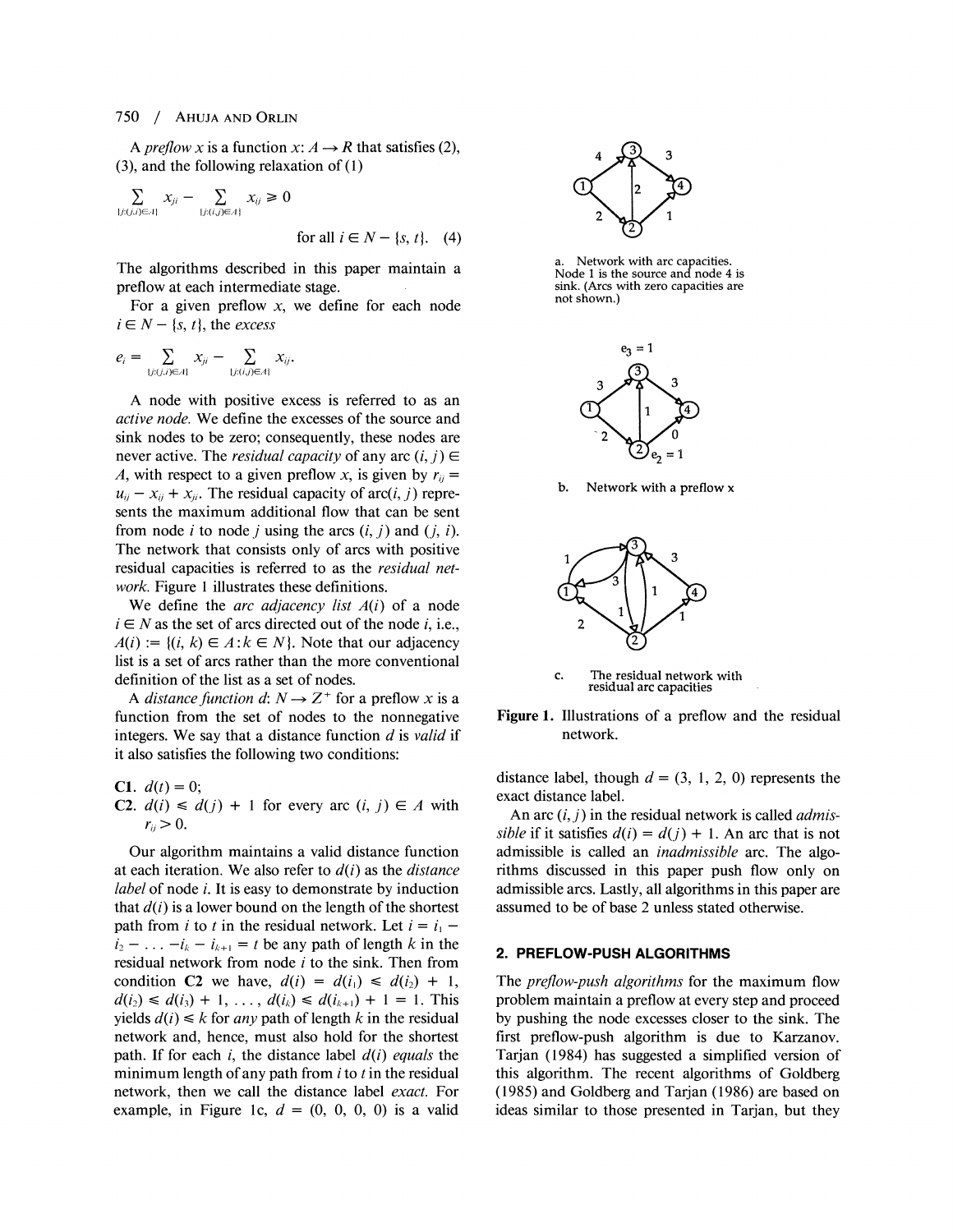#### 750 / AHUJAAND ORLIN

A *preflow x* is a function  $x: A \rightarrow R$  that satisfies (2), *(3),*and the following relaxation of (I)

 $\sum\limits_{\{j: (j,i) \in \mathcal{A}\}} x_{ji} - \sum\limits_{\{j: (i,j) \in \mathcal{A}\}} x_{ij} \geq 0$ for all  $i \in N - \{s, t\}$ . (4)

The algorithms described in this paper maintain a preflow at each intermediate stage.

For a given preflow *x,* we define for each node  $i \in N - \{s, t\}$ , the *excess* 

$$
e_i = \sum_{\{j: (j,i) \in A\}} x_{ji} - \sum_{\{j: (i,j) \in A\}} x_{ij}.
$$

A node with positive excess is referred to as an *active node.* We define the excesses of the source and sink nodes to be zero; consequently, these nodes are never active. The *residual capacity* of any arc  $(i, j) \in$ *A*, with respect to a given preflow *x*, is given by  $r_{ii} =$  $u_{ij} - x_{ij} + x_{ji}$ . The residual capacity of arc(*i*, *j*) represents the maximum additional flow that can be sent from node *i* to node *j* using the arcs  $(i, j)$  and  $(j, i)$ . The network that consists only of arcs with positive residual capacities is referred to as the *residual network.* Figure **1** illustrates these definitions.

We define the *arc adjacency list A(i)* of a node  $i \in N$  as the set of arcs directed out of the node *i*, i.e.,  $A(i) := \{(i, k) \in A : k \in N\}$ . Note that our adjacency list is a set of arcs rather than the more conventional definition of the list as a set of nodes.

A *distance function d*:  $N \rightarrow Z^+$  for a preflow *x* is a function from the set of nodes to the nonnegative integers. We say that a distance function *d* is *valid* if it also satisfies the following two conditions:

**C1.**  $d(t) = 0$ ; **C2.**  $d(i) \leq d(j) + 1$  for every arc  $(i, j) \in A$  with  $r_{ii} > 0$ .

Our algorithm maintains a valid distance function at each iteration. We also refer to  $d(i)$  as the *distance label* of node *i.* It is easy to demonstrate by induction that  $d(i)$  is a lower bound on the length of the shortest path from *i* to *t* in the residual network. Let  $i = i_1$  $i_2$  – ... *-i<sub>k</sub>* –  $i_{k+1}$  = *t* be any path of length *k* in the residual network from node *i* to the sink. Then from condition **C2** we have,  $d(i) = d(i_1) \leq d(i_2) + 1$ ,  $d(i_2) \leq d(i_3) + 1, \ldots, d(i_k) \leq d(i_{k+1}) + 1 = 1$ . This yields  $d(i) \leq k$  for *any* path of length k in the residual network and, hence, must also hold for the shortest path. If for each *i,* the distance label *d(i) equals* the minimum length of any path from *i* to *t* in the residual network, then we call the distance label *exact.* For example, in Figure 1c,  $d = (0, 0, 0, 0)$  is a valid



Network with arc capacities. Node 1 is the source and node 4 is sink. (Arcs with zero capacities are not shown.)



**b.** Network with a preflow x



c. The residual network with residual arc capacities

Figure 1. Illustrations of a preflow and the residual network.

distance label, though  $d = (3, 1, 2, 0)$  represents the exact distance label.

An arc (i,*j)* in the residual network is called *admissible* if it satisfies  $d(i) = d(j) + 1$ . An arc that is not admissible is called an *inadmissible* arc. The algorithms discussed in this paper push flow only on admissible arcs. Lastly, all algorithms in this paper are assumed to be of base *2* unless stated otherwise.

#### **2. PREFLOW-PUSH ALGORITHMS**

The *preflow-push algorithms* for the maximum flow problem maintain a preflow at every step and proceed by pushing the node excesses closer to the sink. The first preflow-push algorithm is due to Karzanov. Tarjan *(1984)* has suggested a simplified version of this algorithm. The recent algorithms of Goldberg ( *1985)* and Goldberg and Tarjan ( *1986)* are based on ideas similar to those presented in Tarjan, but they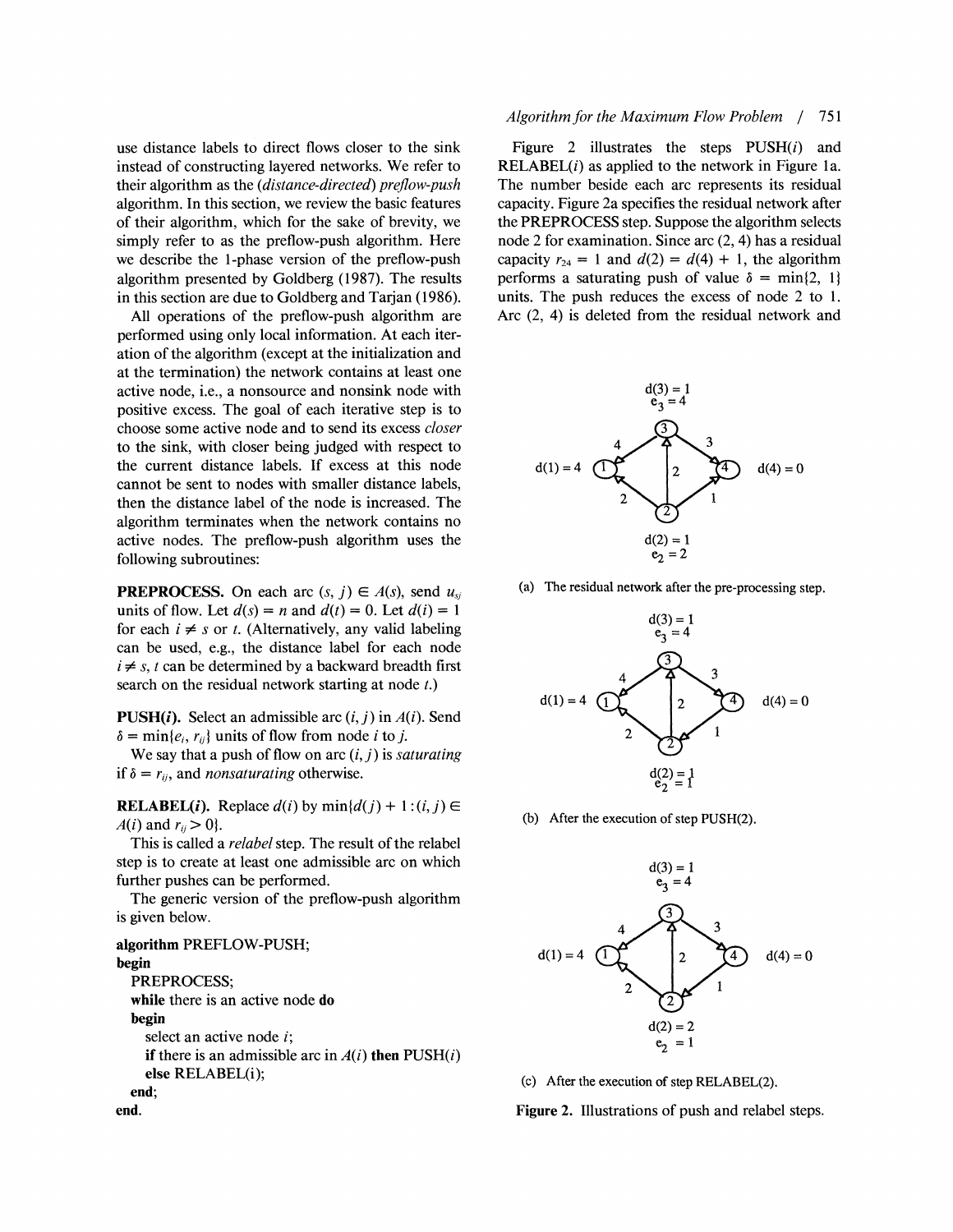use distance labels to direct flows closer to the sink instead of constructing layered networks. We refer to their algorithm as the (distance-directed) preflow-push algorithm. In this section, we review the basic features of their algorithm, which for the sake of brevity, we simply refer to as the preflow-push algorithm. Here we describe the 1-phase version of the preflow-push algorithm presented by Goldberg (1987). The results in this section are due to Goldberg and Tarjan (1986).

All operations of the preflow-push algorithm are performed using only local information. At each iteration of the algorithm (except at the initialization and at the termination) the network contains at least one active node, i.e., a nonsource and nonsink node with positive excess. The goal of each iterative step is to choose some active node and to send its excess closer to the sink, with closer being judged with respect to the current distance labels. If excess at this node cannot be sent to nodes with smaller distance labels, then the distance label of the node is increased. The algorithm terminates when the network contains no active nodes. The preflow-push algorithm uses the following subroutines:

**PREPROCESS.** On each arc  $(s, j) \in A(s)$ , send  $u_{si}$ units of flow. Let  $d(s) = n$  and  $d(t) = 0$ . Let  $d(i) = 1$ for each  $i \neq s$  or t. (Alternatively, any valid labeling can be used, e.g., the distance label for each node  $i \neq s$ , *t* can be determined by a backward breadth first search on the residual network starting at node t.)

**PUSH(i).** Select an admissible arc  $(i, j)$  in  $A(i)$ . Send  $\delta = \min\{e_i, r_{ij}\}\$ units of flow from node *i* to *j*.

We say that a push of flow on arc  $(i, j)$  is *saturating* if  $\delta = r_{ii}$ , and *nonsaturating* otherwise.

**RELABEL(i).** Replace  $d(i)$  by  $min\{d(j) + 1 : (i, j) \in$  $A(i)$  and  $r_{ii} > 0$ .

This is called a *relabel* step. The result of the relabel step is to create at least one admissible arc on which further pushes can be performed.

The generic version of the preflow-push algorithm is given below.

**algorithm** PREFLOW-PUSH; **begin**  PREPROCESS; **while** there is an active node **do begin**  select an active node  $i$ ; **if** there is an admissible arc in  $A(i)$  then  $PUSH(i)$ **else** RELABEL(i); **end; end.** 

#### Algorithm for the Maximum Flow Problem / 751

Figure 2 illustrates the steps  $PUSH(i)$  and  $RELABLEL(i)$  as applied to the network in Figure 1a. The number beside each arc represents its residual capacity. Figure 2a specifies the residual network after the PREPROCESS step. Suppose the algorithm selects node 2 for examination. Since arc (2,4) has a residual capacity  $r_{24} = 1$  and  $d(2) = d(4) + 1$ , the algorithm performs a saturating push of value  $\delta = \min\{2, 1\}$ units. The push reduces the excess of node 2 to 1. Arc (2, 4) is deleted from the residual network and



(a) The residual network after the pre-processing step.



(b) After the execution of step PUSH(2).



(c) After the execution of step RELABEL(2).

**Figure 2.** Illustrations of push and relabel steps.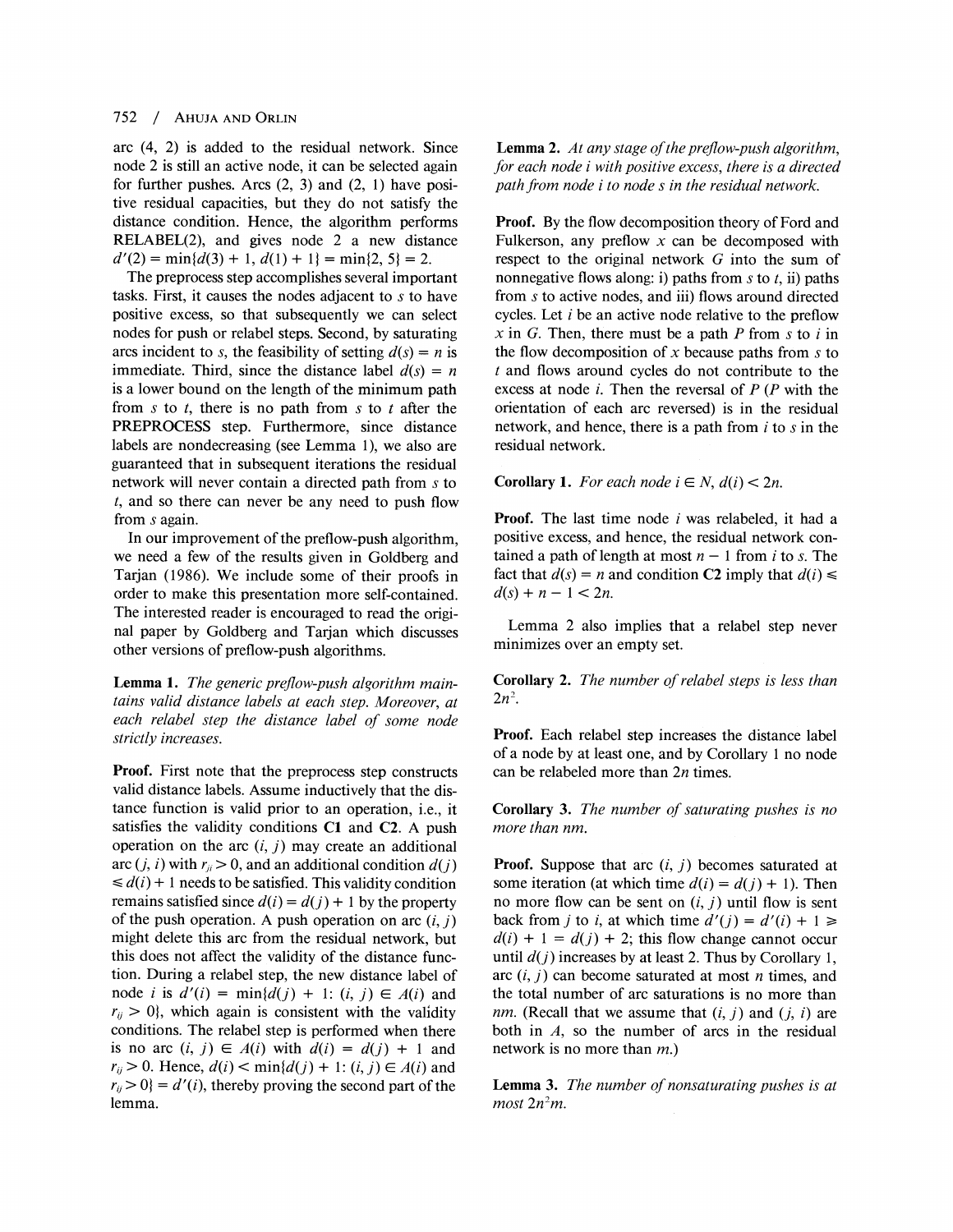#### 752 / AHUJA AND ORLIN

arc (4, 2) is added to the residual network. Since node 2 is still an active node, it can be selected again for further pushes. Arcs (2, **3)** and (2, 1) have positive residual capacities, but they do not satisfy the distance condition. Hence, the algorithm performs RELABEL(2), and gives node 2 a new distance  $d'(2) = min\{d(3) + 1, d(1) + 1\} = min\{2, 5\} = 2.$ 

The preprocess step accomplishes several important tasks. First, it causes the nodes adjacent to s to have positive excess, so that subsequently we can select nodes for push or relabel steps. Second, by saturating arcs incident to s, the feasibility of setting  $d(s) = n$  is immediate. Third, since the distance label  $d(s) = n$ is a lower bound on the length of the minimum path from  $s$  to  $t$ , there is no path from  $s$  to  $t$  after the PREPROCESS step. Furthermore, since distance labels are nondecreasing (see Lemma I), we also are guaranteed that in subsequent iterations the residual network will never contain a directed path from s to t, and so there can never be any need to push flow from s again.

In our improvement of the preflow-push algorithm, we need a few of the results given in Goldberg and Tarjan (1986). We include some of their proofs in order to make this presentation more self-contained. The interested reader is encouraged to read the original paper by Goldberg and Tarjan which discusses other versions of preflow-push algorithms.

Lemma 1. The generic preflow-push algorithm maintains valid distance labels at each step. Moreover, at each relabel step the distance label of some node strictly increases.

**Proof.** First note that the preprocess step constructs valid distance labels. Assume inductively that the distance function is valid prior to an operation, i.e., it satisfies the validity conditions **C1** and **C2. A** push operation on the arc  $(i, j)$  may create an additional arc  $(j, i)$  with  $r_{ji} > 0$ , and an additional condition  $d(j)$  $\leq d(i) + 1$  needs to be satisfied. This validity condition remains satisfied since  $d(i) = d(j) + 1$  by the property of the push operation. A push operation on arc  $(i, j)$ might delete this arc from the residual network, but this does not affect the validity of the distance function. During a relabel step, the new distance label of node *i* is  $d'(i) = \min\{d(j) + 1: (i, j) \in A(i) \text{ and }$  $r_{ii} > 0$ , which again is consistent with the validity conditions. The relabel step is performed when there is no arc  $(i, j) \in A(i)$  with  $d(i) = d(j) + 1$  and  $r_{ij} > 0$ . Hence,  $d(i) < min\{d(j) + 1: (i, j) \in A(i) \text{ and }$  $r_{ij} > 0$ } =  $d'(i)$ , thereby proving the second part of the lemma.

**Lemma 2.** At any stage of the preflow-push algorithm, ,for each node i with positive excess, there is a directed path from node i to node s in the residual network.

**Proof.** By the flow decomposition theory of Ford and Fulkerson, any preflow  $x$  can be decomposed with respect to the original network  $G$  into the sum of nonnegative flows along: i) paths from s to t, ii) paths from s to active nodes, and iii) flows around directed cycles. Let  $i$  be an active node relative to the preflow  $x$  in G. Then, there must be a path P from s to i in the flow decomposition of x because paths from s to t and flows around cycles do not contribute to the excess at node  $i$ . Then the reversal of  $P(P$  with the orientation of each arc reversed) is in the residual network, and hence, there is a path from  $i$  to  $s$  in the residual network.

**Corollary 1.** For each node  $i \in N$ ,  $d(i) < 2n$ .

**Proof.** The last time node i was relabeled, it had a positive excess, and hence, the residual network contained a path of length at most  $n - 1$  from i to s. The fact that  $d(s) = n$  and condition C2 imply that  $d(i) \leq$  $d(s) + n - 1 < 2n$ .

Lemma 2 also implies that a relabel step never minimizes over an empty set.

**Corollary 2.** The number of relabel steps is less than  $2n^2$ .

**Proof.** Each relabel step increases the distance label of a node by at least one, and by Corollary 1 no node can be relabeled more than  $2n$  times.

**Corollary 3.** The number of saturating pushes is no more than nm.

Proof. Suppose that arc  $(i, j)$  becomes saturated at some iteration (at which time  $d(i) = d(j) + 1$ ). Then no more flow can be sent on  $(i, j)$  until flow is sent back from *j* to *i*, at which time  $d'(j) = d'(i) + 1 \ge$  $d(i) + 1 = d(j) + 2$ ; this flow change cannot occur until  $d(j)$  increases by at least 2. Thus by Corollary 1, arc  $(i, j)$  can become saturated at most *n* times, and the total number of arc saturations is no more than  $nm$ . (Recall that we assume that  $(i, j)$  and  $(j, i)$  are both in  $A$ , so the number of arcs in the residual network is no more than m.)

**Lemma 3.** The number of nonsaturating pushes is at  $most\ 2n^2m$ .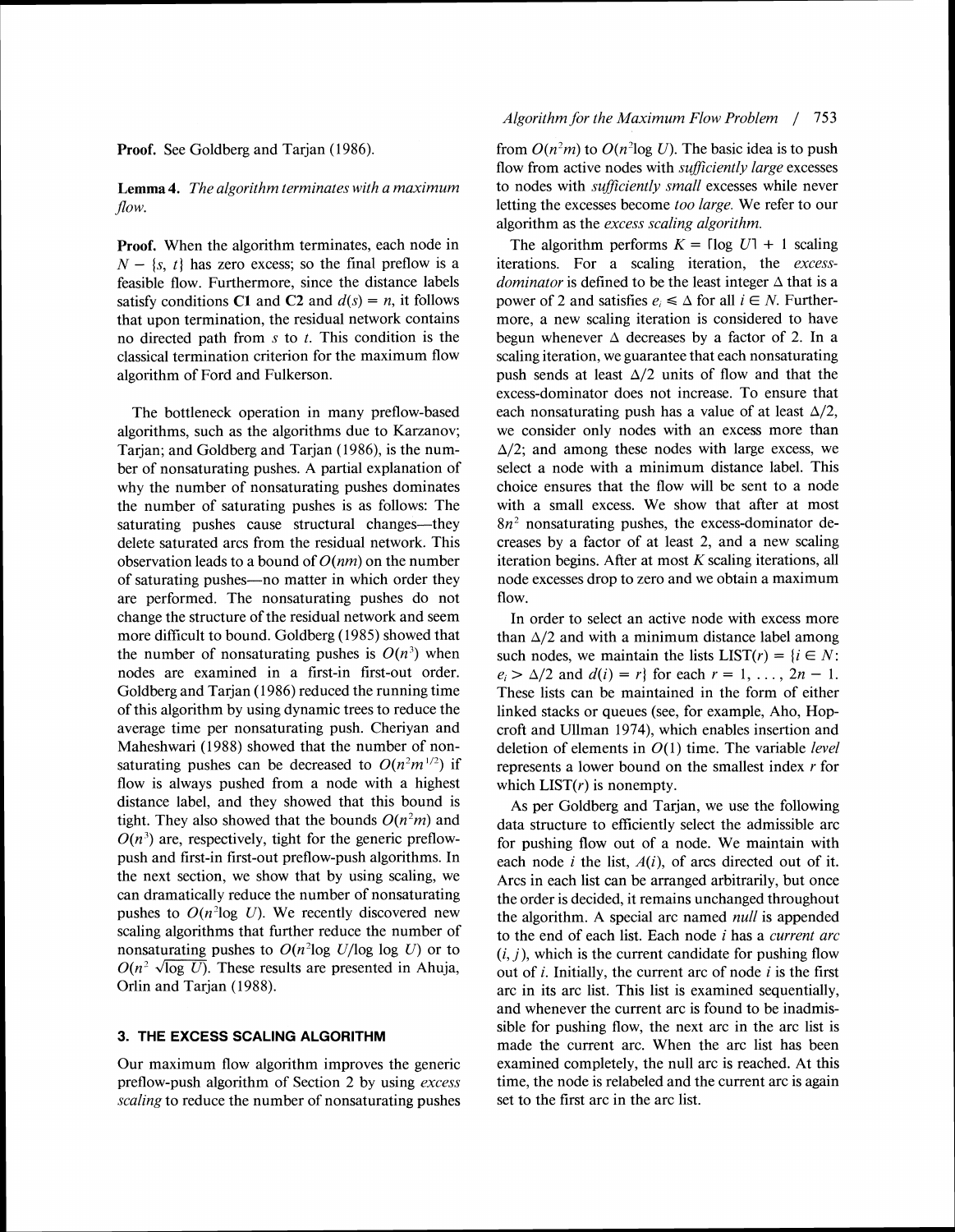**Proof.** See Goldberg and Tarjan (1*986).* 

**Lemma 4.** The algorithm terminates with a maximum  $flow.$ 

**Proof.** When the algorithm terminates, each node in  $N - \{s, t\}$  has zero excess; so the final preflow is a feasible flow. Furthermore, since the distance labels satisfy conditions C1 and C2 and  $d(s) = n$ , it follows that upon termination, the residual network contains no directed path from **s** to *t.* This condition is the classical termination criterion for the maximum flow algorithm of Ford and Fulkerson.

The bottleneck operation in many preflow-based algorithms, such as the algorithms due to Karzanov; Tarjan; and Goldberg and Tarjan *(1986),*is the number of nonsaturating pushes. A partial explanation of why the number of nonsaturating pushes dominates the number of saturating pushes is as follows: The saturating pushes cause structural changes—they delete saturated arcs from the residual network. This observation leads to a bound of  $O(nm)$  on the number of saturating pushes—no matter in which order they are performed. The nonsaturating pushes do not change the structure of the residual network and seem more difficult to bound. Goldberg (1985) showed that the number of nonsaturating pushes is  $O(n^3)$  when nodes are examined in a first-in first-out order. Goldberg and Tarjan *(1986)*reduced the running time of this algorithm by using dynamic trees to reduce the average time per nonsaturating push. Cheriyan and Maheshwari (1988) showed that the number of nonsaturating pushes can be decreased to  $O(n^2m^{1/2})$  if flow is always pushed from a node with a highest distance label, and they showed that this bound is tight. They also showed that the bounds  $O(n^2m)$  and  $O(n^3)$  are, respectively, tight for the generic preflowpush and first-in first-out preflow-push algorithms. In the next section, we show that by using scaling, we can dramatically reduce the number of nonsaturating pushes to  $O(n^2 \log U)$ . We recently discovered new scaling algorithms that further reduce the number of nonsaturating pushes to  $O(n^2 \log U/\log \log U)$  or to scaling algorithms that further reduce the number of<br>nonsaturating pushes to  $O(n^2 \log U/\log \log U)$  or to<br> $O(n^2 \sqrt{\log U})$ . These results are presented in Ahuja, Orlin and Tarjan ( *1988).* 

#### **3. THE EXCESS SCALING ALGORITHM**

Our maximum flow algorithm improves the generic preflow-push algorithm of Section 2 by using *excess scaling* to reduce the number of nonsaturating pushes

#### *Algorithm for the Maximum Flow Problem* / *<sup>753</sup>*

from  $O(n^2m)$  to  $O(n^2\log U)$ . The basic idea is to push flow from active nodes with *sufficiently large* excesses to nodes with *sufficiently small* excesses while never letting the excesses become *too large.* We refer to our algorithm as the *excess scaling algorithm.* 

The algorithm performs  $K = \lceil \log U \rceil + 1$  scaling iterations. For a scaling iteration, the *excessdominator* is defined to be the least integer  $\triangle$  that is a power of 2 and satisfies  $e_i \leq \Delta$  for all  $i \in N$ . Furthermore, a new scaling iteration is considered to have begun whenever  $\Delta$  decreases by a factor of 2. In a scaling iteration, we guarantee that each nonsaturating push sends at least  $\Delta/2$  units of flow and that the excess-dominator does not increase. To ensure that each nonsaturating push has a value of at least  $\Delta/2$ , we consider only nodes with an excess more than  $\Delta/2$ ; and among these nodes with large excess, we select a node with a minimum distance label. This choice ensures that the flow will be sent to a node with a small excess. We show that after at most *8n2* nonsaturating pushes, the excess-dominator decreases by a factor of at least 2, and a new scaling iteration begins. After at most *K* scaling iterations, all node excesses drop to zero and we obtain a maximum flow.

In order to select an active node with excess more than  $\Delta/2$  and with a minimum distance label among such nodes, we maintain the lists  $LIST(r) = {i \in N:}$  $e_i > \Delta/2$  and  $d(i) = r$  for each  $r = 1, \ldots, 2n - 1$ . These lists can be maintained in the form of either linked stacks or queues (see, for example, Aho, Hopcroft and Ullman *1974),*which enables insertion and deletion of elements in *O(1)*time. The variable *level*  represents a lower bound on the smallest index *r* for which  $LIST(r)$  is nonempty.

As per Goldberg and Tarjan, we use the following data structure to efficiently select the admissible arc for pushing flow out of a node. We maintain with each node *i* the list,  $A(i)$ , of arcs directed out of it. Arcs in each list can be arranged arbitrarily, but once the order is decided, it remains unchanged throughout the algorithm. A special arc named *null* is appended to the end of each list. Each node *i* has a *current arc*   $(i, j)$ , which is the current candidate for pushing flow out of  $i$ . Initially, the current arc of node  $i$  is the first arc in its arc list. This list is examined sequentially, and whenever the current arc is found to be inadmissible for pushing flow, the next arc in the arc list is made the current arc. When the arc list has been examined completely, the null arc is reached. At this time, the node is relabeled and the current arc is again set to the first arc in the arc list.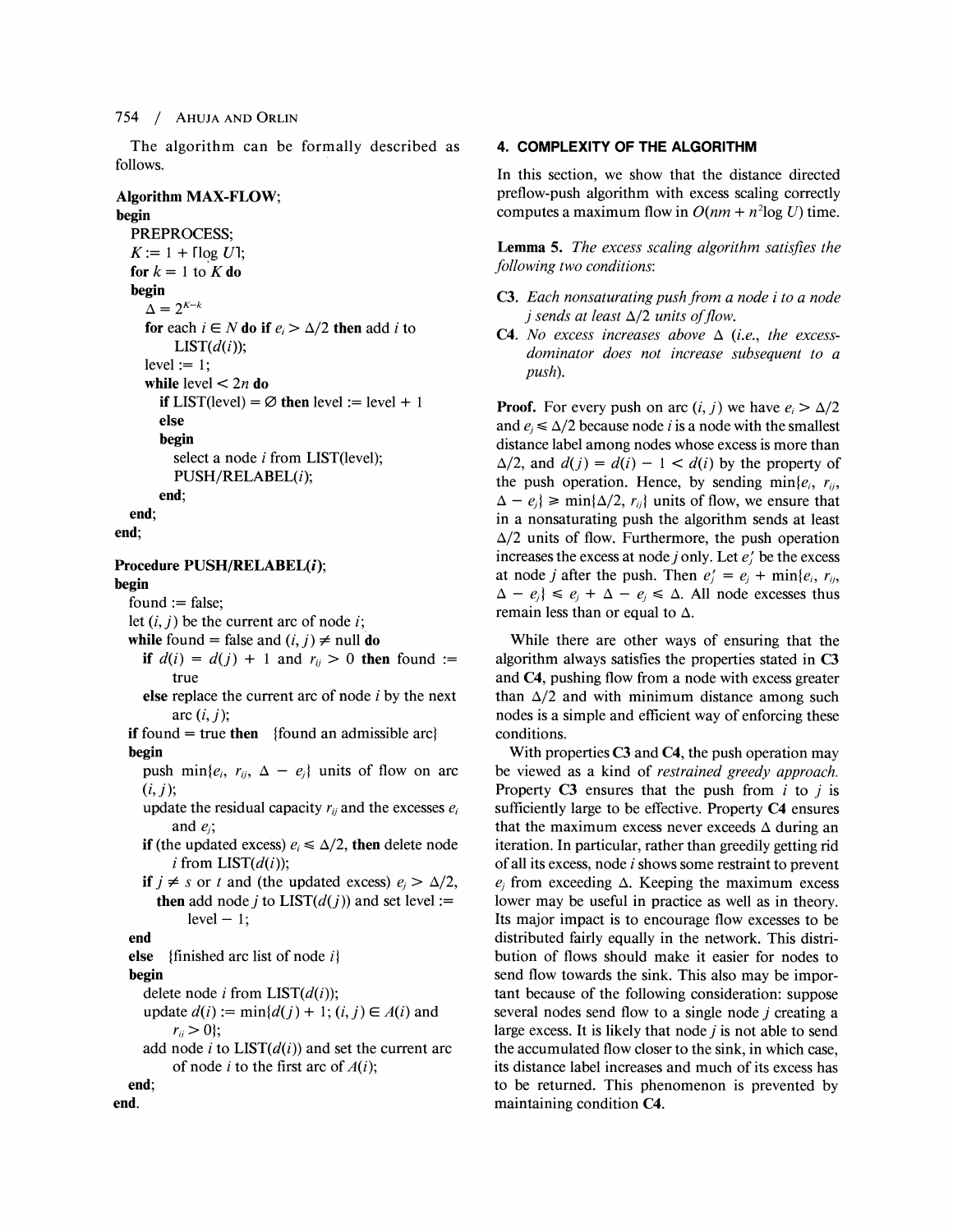#### 754 / AHUJAAND OKLIN

The algorithm can be formally described as follows.

### Algorithm MAX-FLOW;

#### begin

```
PREPROCESS; 
K := 1 + \lceil \log U \rceil;
for k = 1 to K do
begin 
  \Delta= 2^{K-k}for each i \in N do if e_i > \Delta/2 then add i to
       LIST(d(i));
  level := 1;
  while level < 2n do
     if LIST(level) = \emptyset then level := level + 1
     else 
     begin 
       select a node i from LIST(level);
       PUSH/RELABEL(i);
```
end;

```
end;
```
end:

### Procedure PUSH/RELABEL(i);

begin

 $found := false;$ 

let  $(i, j)$  be the current arc of node  $i$ ;

- while found = false and  $(i, j) \neq \text{null}$  do
	- if  $d(i) = d(j) + 1$  and  $r_{ij} > 0$  then found := true
	- else replace the current arc of node  $i$  by the next arc  $(i, j)$ ;
- if found  $=$  true then {found an admissible arc} begin
	- push min $\{e_i, r_{ij}, \Delta e_j\}$  units of flow on arc  $(i, j);$
	- update the residual capacity  $r_{ij}$  and the excesses  $e_i$ and  $e_i$ ;
	- if (the updated excess)  $e_i \le \Delta/2$ , then delete node i from  $LIST(d(i))$ ;
	- if  $j \neq s$  or *t* and (the updated excess)  $e_j > \Delta/2$ , then add node *j* to  $LIST(d(j))$  and set level :=  $level - 1$ ;

#### end

```
else {finished arc list of node i]
```
begin

delete node *i* from  $LIST(d(i));$ 

update  $d(i) := min{d(j) + 1; (i, j) \in A(i)}$  and  $r_{ii} > 0$ ;

add node i to  $LIST(d(i))$  and set the current arc of node *i* to the first arc of  $A(i)$ ;

```
end; 
end.
```
#### **4. COMPLEXITY OF THE ALGORITHM**

In this section, we show that the distance directed preflow-push algorithm with excess scaling correctly computes a maximum flow in  $O(nm + n^2 \log U)$  time.

Lemma **5.** The excess scaling algorithm satisfies the following two conditions:

- **C3.** Each nonsaturating push from a node i to a node *j* sends at least  $\Delta/2$  units of flow.
- **C4.** No excess increases above  $\Delta$  (i.e., the excessdominator does not increase subsequent to a push).

**Proof.** For every push on arc  $(i, j)$  we have  $e_i > \Delta/2$ and  $e_i \le \Delta/2$  because node *i* is a node with the smallest distance label among nodes whose excess is more than  $\Delta/2$ , and  $d(j) = d(i) - 1 < d(i)$  by the property of the push operation. Hence, by sending min $\{e_i, r_{ii},\}$  $\Delta - e_i$   $\geq$  min{ $\Delta/2$ ,  $r_{ii}$ } units of flow, we ensure that in a nonsaturating push the algorithm sends at least  $\Delta/2$  units of flow. Furthermore, the push operation increases the excess at node j only. Let  $e_i$  be the excess at node *j* after the push. Then  $e'_i = e_i + \min\{e_i, r_{ij},\}$  $\Delta - e_i$   $\leq e_i + \Delta - e_i \leq \Delta$ . All node excesses thus remain less than or equal to  $\Delta$ .

While there are other ways of ensuring that the algorithm always satisfies the properties stated in **C3**  and **C4,** pushing flow from a node with excess greater than  $\Delta/2$  and with minimum distance among such nodes is a simple and efficient way of enforcing these conditions.

With properties **C3** and **C4,** the push operation may be viewed as a kind of *restrained greedy approach*. Property **C3** ensures that the push from i to *j* is sufficiently large to be effective. Property **C4** ensures that the maximum excess never exceeds  $\Delta$  during an iteration. In particular, rather than greedily getting rid of all its excess, node i shows some restraint to prevent  $e_i$  from exceeding  $\Delta$ . Keeping the maximum excess lower may be useful in practice as well as in theory. Its major impact is to encourage flow excesses to be distributed fairly equally in the network. This distribution of flows should make it easier for nodes to send flow towards the sink. This also may be important because of the following consideration: suppose several nodes send flow to a single node j creating a large excess. It is likely that node  $i$  is not able to send the accumulated flow closer to the sink, in which case, its distance label increases and much of its excess has to be returned. This phenomenon is prevented by maintaining condition **C4.**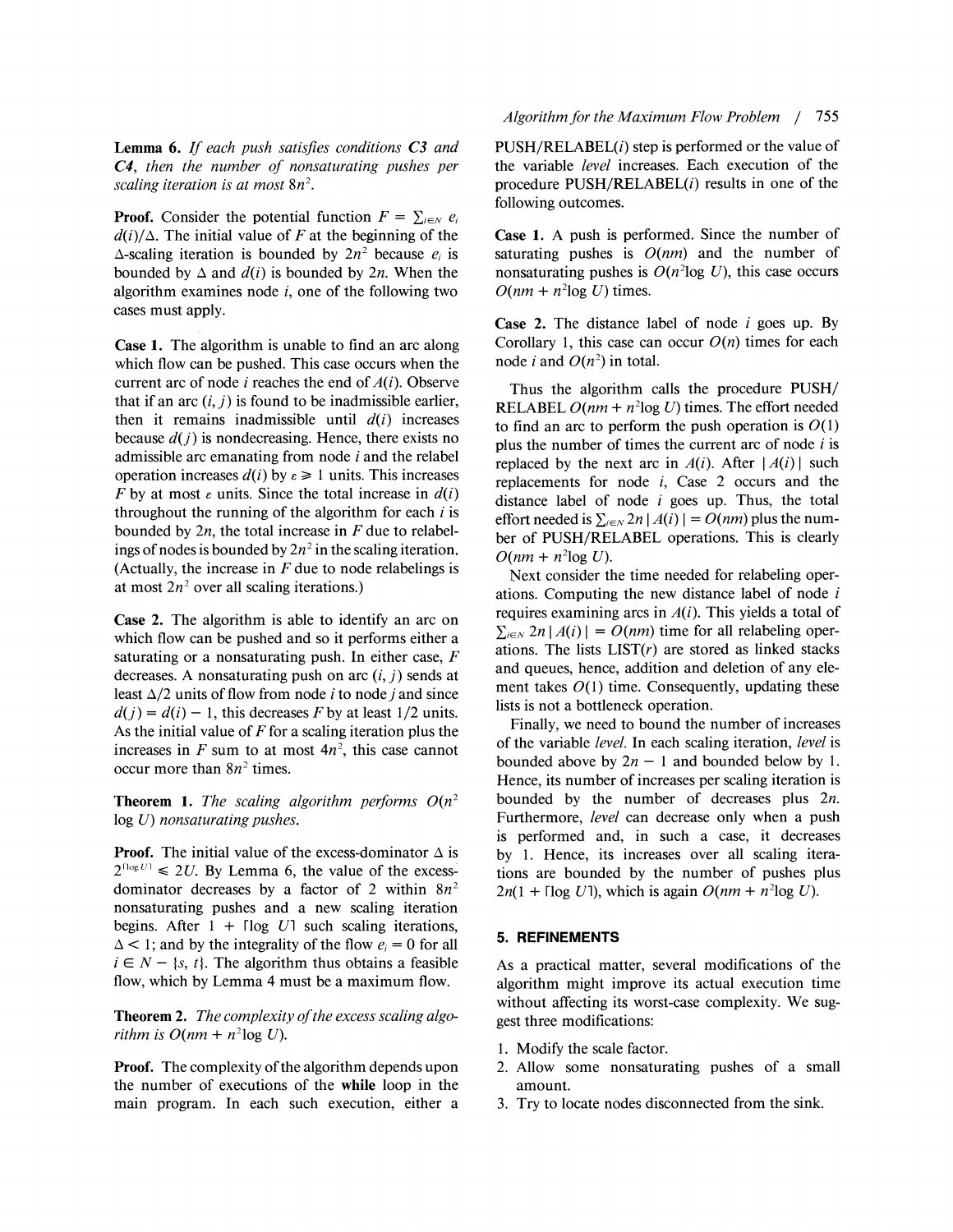**Lemma 6.** If each push satisfies conditions *C3* and **C4,** then the number of nonsaturating pushes per scaling iteration is at most  $8n^2$ .

**Proof.** Consider the potential function  $F = \sum_{i \in \mathbb{N}} e_i$  $d(i)/\Delta$ . The initial value of F at the beginning of the  $\Delta$ -scaling iteration is bounded by  $2n^2$  because  $e_i$  is bounded by  $\Delta$  and  $d(i)$  is bounded by  $2n$ . When the algorithm examines node  $i$ , one of the following two cases must apply.

**Case 1.** The algorithm is unable to find an arc along which flow can be pushed. This case occurs when the current arc of node *i* reaches the end of  $A(i)$ . Observe that if an arc  $(i, j)$  is found to be inadmissible earlier, then it remains inadmissible until  $d(i)$  increases because  $d(j)$  is nondecreasing. Hence, there exists no admissible arc emanating from node i and the relabel operation increases  $d(i)$  by  $\varepsilon \ge 1$  units. This increases F by at most  $\varepsilon$  units. Since the total increase in  $d(i)$ throughout the running of the algorithm for each  $i$  is bounded by  $2n$ , the total increase in  $F$  due to relabelings of nodes is bounded by  $2n^2$  in the scaling iteration. (Actually, the increase in  $F$  due to node relabelings is at most  $2n^2$  over all scaling iterations.)

**Case 2.** The algorithm is able to identify an arc on which flow can be pushed and so it performs either a saturating or a nonsaturating push. In either case,  $F$ decreases. A nonsaturating push on arc  $(i, j)$  sends at least  $\Delta/2$  units of flow from node *i* to node *j* and since  $d(j) = d(i) - 1$ , this decreases F by at least 1/2 units. As the initial value of  $F$  for a scaling iteration plus the increases in F sum to at most  $4n^2$ , this case cannot occur more than  $8n^2$  times.

**Theorem 1.** The scaling algorithm performs  $O(n^2)$ log U) nonsaturating pushes.

**Proof.** The initial value of the excess-dominator  $\Delta$  is  $2^{\log U} \le 2U$ . By Lemma 6, the value of the excessdominator decreases by a factor of 2 within  $8n^2$ nonsaturating pushes and a new scaling iteration begins. After  $1 + \lceil \log U \rceil$  such scaling iterations,  $\Delta$  < 1; and by the integrality of the flow  $e_i = 0$  for all  $i \in N - \{s, t\}$ . The algorithm thus obtains a feasible flow, which by Lemma 4 must be a maximum flow.

**Theorem 2.** The complexity of the excess scaling algorithm is  $O(nm + n^2 \log U)$ .

**Proof.** The complexity of the algorithm depends upon the number of executions of the **while** loop in the main program. In each such execution, either a

 $PUSH/RELABEL(i)$  step is performed or the value of the variable level increases. Each execution of the procedure PUSH/RELABEL(i) results in one of the following outcomes.

**Case 1.** A push is performed. Since the number of saturating pushes is  $O(nm)$  and the number of nonsaturating pushes is  $O(n^2 \log U)$ , this case occurs  $O(nm + n^2 \log U)$  times.

**Case 2.** The distance label of node i goes up. By Corollary 1, this case can occur  $O(n)$  times for each node *i* and  $O(n^2)$  in total.

Thus the algorithm calls the procedure PUSH/ RELABEL  $O(nm + n^2 \log U)$  times. The effort needed to find an arc to perform the push operation is  $O(1)$ plus the number of times the current arc of node  $i$  is replaced by the next arc in  $A(i)$ . After  $|A(i)|$  such replacements for node  $i$ , Case 2 occurs and the distance label of node **i** goes up. Thus, the total effort needed is  $\sum_{i \in N} 2n |A(i)| = O(nm)$  plus the number of PUSH/RELABEL operations. This is clearly  $O(nm + n^2 \log U)$ .

Next consider the time needed for relabeling operations. Computing the new distance label of node i requires examining arcs in  $A(i)$ . This yields a total of  $\sum_{i \in N} 2n |A(i)| = O(nm)$  time for all relabeling operations. The lists  $LIST(r)$  are stored as linked stacks and queues, hence, addition and deletion of any element takes  $O(1)$  time. Consequently, updating these lists is not a bottleneck operation.

Finally, we need to bound the number of increases of the variable level. In each scaling iteration, level is bounded above by  $2n - 1$  and bounded below by 1. Hence, its number of increases per scaling iteration is bounded by the number of decreases plus 2n. Furthermore, level can decrease only when a push is performed and, in such a case, it decreases by 1. Hence, its increases over all scaling iterations are bounded by the number of pushes plus  $2n(1 + \lceil \log U \rceil)$ , which is again  $O(nm + n^2 \log U)$ .

#### **5. REFINEMENTS**

As a practical matter, several modifications of the algorithm might improve its actual execution time without affecting its worst-case complexity. We suggest three modifications:

- 1. Modify the scale factor.
- 2. Allow some nonsaturating pushes of a small amount.
- **3.** Try to locate nodes disconnected from the sink.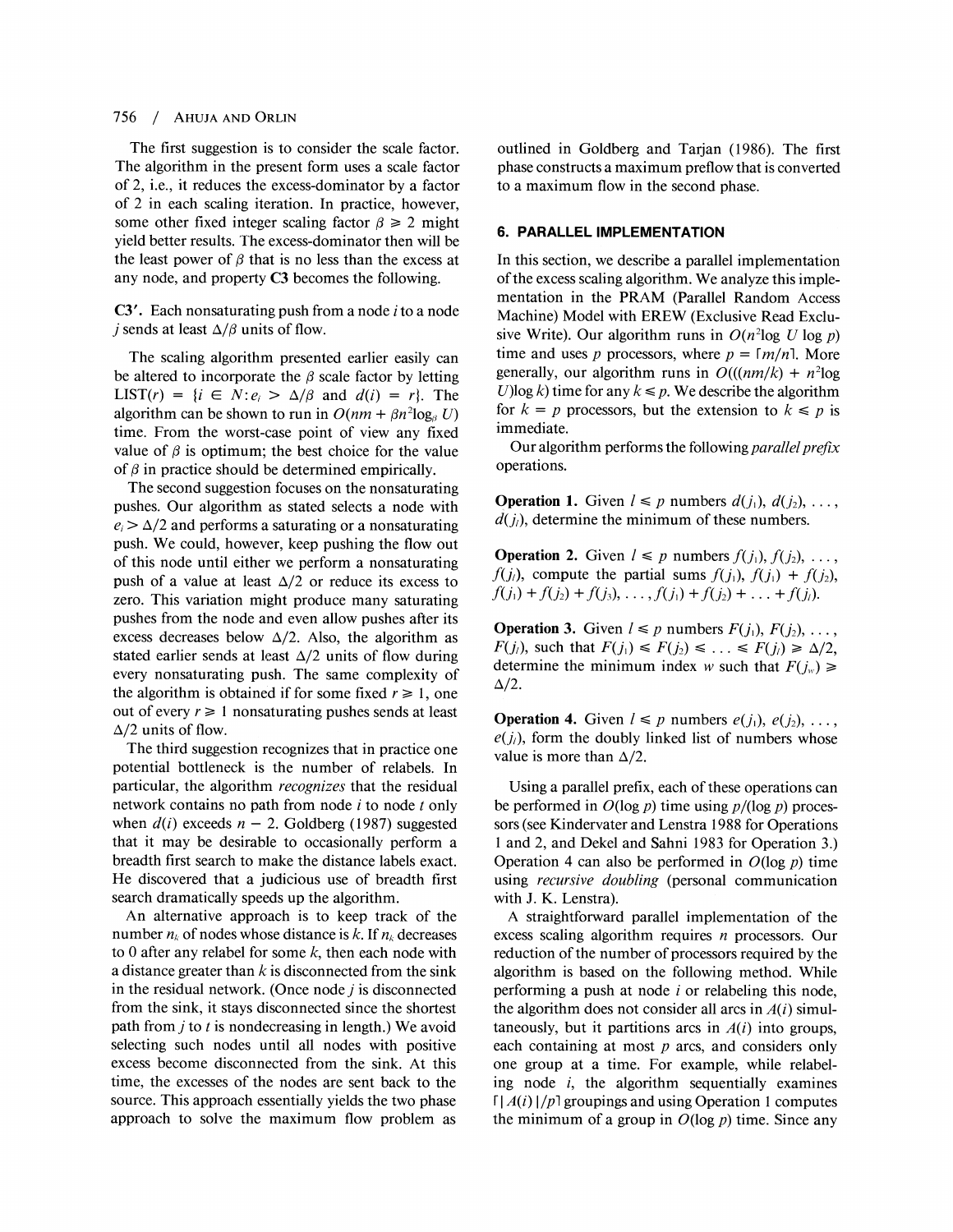#### $756/$ **AHUJA AND ORLIN**

The first suggestion is to consider the scale factor. The algorithm in the present form uses a scale factor of 2, i.e., it reduces the excess-dominator by a factor of 2 in each scaling iteration. In practice, however, some other fixed integer scaling factor  $\beta \geq 2$  might yield better results. The excess-dominator then will be the least power of  $\beta$  that is no less than the excess at any node, and property **C3** becomes the following.

**C3'.** Each nonsaturating push from a node **i** to a node j sends at least  $\Delta/\beta$  units of flow.

The scaling algorithm presented earlier easily can be altered to incorporate the  $\beta$  scale factor by letting LIST(r) =  $\{i \in N: e_i > \Delta/\beta \text{ and } d(i) = r\}$ . The algorithm can be shown to run in  $O(nm + \beta n^2 \log_{\beta} U)$ time. From the worst-case point of view any fixed value of  $\beta$  is optimum; the best choice for the value of  $\beta$  in practice should be determined empirically.

The second suggestion focuses on the nonsaturating pushes. Our algorithm as stated selects a node with  $e_i > \Delta/2$  and performs a saturating or a nonsaturating push. We could, however, keep pushing the flow out of this node until either we perform a nonsaturating push of a value at least  $\Delta/2$  or reduce its excess to zero. This variation might produce many saturating pushes from the node and even allow pushes after its excess decreases below  $\Delta/2$ . Also, the algorithm as stated earlier sends at least  $\Delta/2$  units of flow during every nonsaturating push. The same complexity of the algorithm is obtained if for some fixed  $r \geq 1$ , one out of every  $r \geq 1$  nonsaturating pushes sends at least  $\Delta/2$  units of flow.

The third suggestion recognizes that in practice one potential bottleneck is the number of relabels. In particular, the algorithm recognizes that the residual network contains no path from node i to node *t* only when  $d(i)$  exceeds  $n-2$ . Goldberg (1987) suggested that it may be desirable to occasionally perform a breadth first search to make the distance labels exact. He discovered that a judicious use of breadth first search dramatically speeds up the algorithm.

An alternative approach is to keep track of the number  $n_k$  of nodes whose distance is k. If  $n_k$  decreases to 0 after any relabel for some  $k$ , then each node with a distance greater than  $k$  is disconnected from the sink in the residual network. (Once node  $i$  is disconnected from the sink, it stays disconnected since the shortest path from j to *t* is nondecreasing in length.) We avoid selecting such nodes until all nodes with positive excess become disconnected from the sink. At this time, the excesses of the nodes are sent back to the source. This approach essentially yields the two phase approach to solve the maximum flow problem as

outlined in Goldberg and Tarjan (1986). The first phase constructs a maximum preflow that is converted to a maximum flow in the second phase.

#### **6. PARALLEL IMPLEMENTATION**

In this section, we describe a parallel implementation of the excess scaling algorithm. We analyze this implementation in the PRAM (Parallel Random Access Machine) Model with EREW (Exclusive Read Exclusive Write). Our algorithm runs in  $O(n^2 \log U \log p)$ time and uses p processors, where  $p = \lceil m/n \rceil$ . More generally, our algorithm runs in  $O(((nm/k) + n^2 \log n)$ U)log k) time for any  $k \leq p$ . We describe the algorithm for  $k = p$  processors, but the extension to  $k \leq p$  is immediate.

Our algorithm performs the following *parallel prefix* operations.

**Operation 1.** Given  $l \leq p$  numbers  $d(j_1), d(j_2), \ldots$ ,  $d(j_i)$ , determine the minimum of these numbers.

**Operation 2.** Given  $l \leq p$  numbers  $f(j_1), f(j_2), \ldots$ ,  $f(j_i)$ , compute the partial sums  $f(j_i)$ ,  $f(j_1) + f(j_2)$ ,  $f(j_1) + f(j_2) + f(j_3), \ldots, f(j_1) + f(j_2) + \ldots + f(j_l).$ 

**Operation 3.** Given  $l \leq p$  numbers  $F(j_1), F(j_2), \ldots$  $F(j_i)$ , such that  $F(j_1) \leq F(j_2) \leq \ldots \leq F(j_\ell) \geq \Delta/2$ , determine the minimum index w such that  $F(j_w) \geq$  $\Delta/2$ .

**Operation 4.** Given  $l \leq p$  numbers  $e(j_1), e(j_2), \ldots$ ,  $e(j_i)$ , form the doubly linked list of numbers whose value is more than  $\Delta/2$ .

Using a parallel prefix, each of these operations can be performed in  $O(\log p)$  time using  $p/(\log p)$  processors (see Kindervater and Lenstra 1988 for Operations 1 and 2, and Dekel and Sahni 1983 for Operation 3.) Operation 4 can also be performed in  $O(\log p)$  time using recursive doubling (personal communication with J. K. Lenstra).

A straightforward parallel implementation of the excess scaling algorithm requires  $n$  processors. Our reduction of the number of processors required by the algorithm is based on the following method. While performing a push at node  $i$  or relabeling this node, the algorithm does not consider all arcs in  $A(i)$  simultaneously, but it partitions arcs in  $A(i)$  into groups, each containing at most  $p$  arcs, and considers only one group at a time. For example, while relabeling node  $i$ , the algorithm sequentially examines  $\lceil |A(i)|/p \rceil$  groupings and using Operation 1 computes the minimum of a group in  $O(\log p)$  time. Since any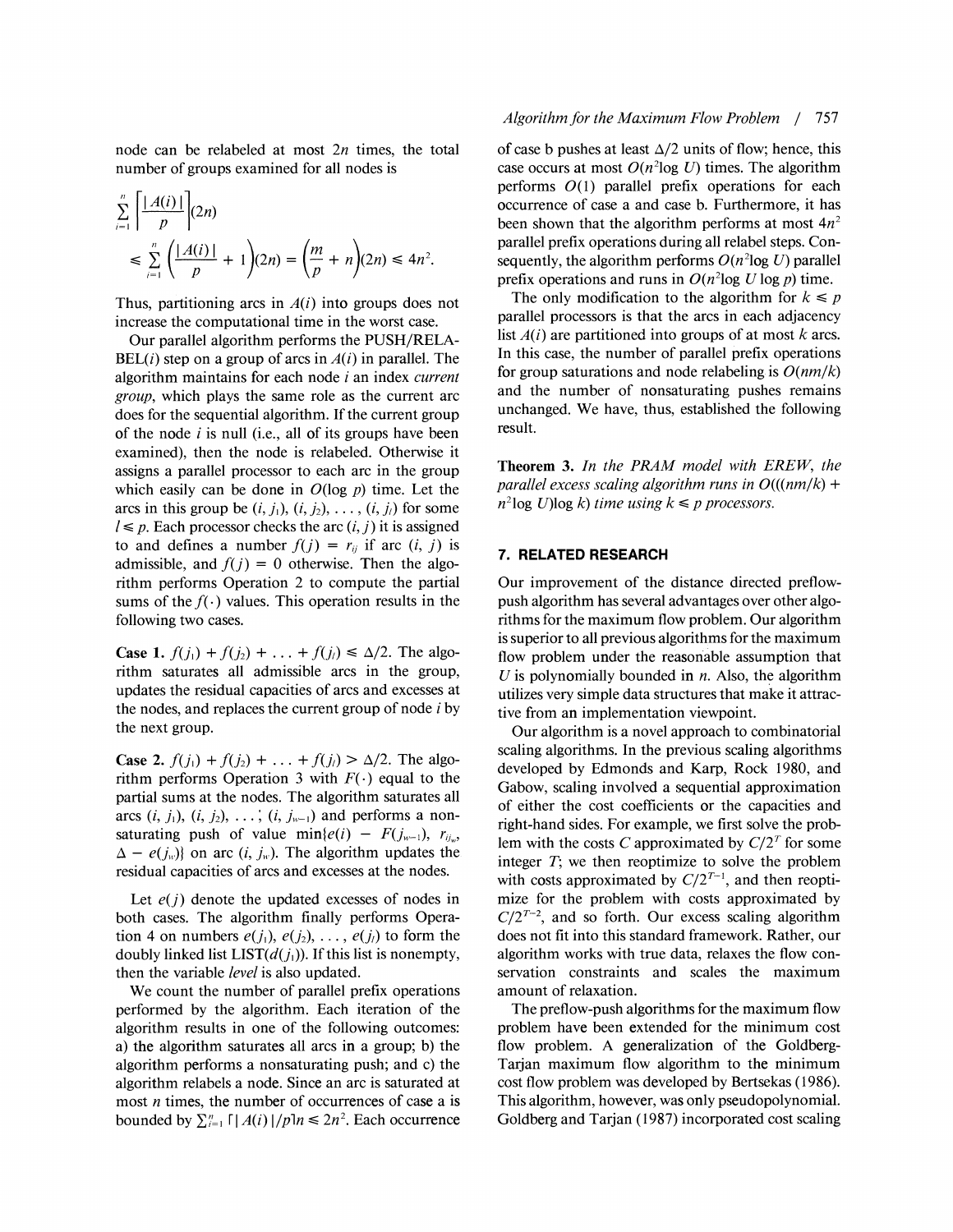node can be relabeled at most  $2n$  times, the total number of groups examined for all nodes is

$$
\sum_{i=1}^{n} \left[ \frac{|A(i)|}{p} \right] (2n) \n\leq \sum_{i=1}^{n} \left( \frac{|A(i)|}{p} + 1 \right) (2n) = \left( \frac{m}{p} + n \right) (2n) \leq 4n^2.
$$

Thus, partitioning arcs in  $A(i)$  into groups does not increase the computational time in the worst case.

Our parallel algorithm performs the PUSH/RELA- $BEL(i)$  step on a group of arcs in  $A(i)$  in parallel. The algorithm maintains for each node  $i$  an index *current* group, which plays the same role as the current arc does for the sequential algorithm. If the current group of the node  $i$  is null (i.e., all of its groups have been examined), then the node is relabeled. Otherwise it assigns a parallel processor to each arc in the group which easily can be done in  $O(\log p)$  time. Let the arcs in this group be  $(i, j_1), (i, j_2), \ldots, (i, j_l)$  for some  $l \leq p$ . Each processor checks the arc  $(i, j)$  it is assigned to and defines a number  $f(j) = r_{ij}$  if arc  $(i, j)$  is admissible, and  $f(j) = 0$  otherwise. Then the algorithm performs Operation 2 to compute the partial sums of the  $f(\cdot)$  values. This operation results in the following two cases.

**Case 1.**  $f(j_1) + f(j_2) + ... + f(j_\ell) \le \Delta/2$ . The algorithm saturates all admissible arcs in the group, updates the residual capacities of arcs and excesses at the nodes, and replaces the current group of node  $i$  by the next group.

**Case 2.**  $f(j_1) + f(j_2) + \ldots + f(j_l) > \Delta/2$ . The algorithm performs Operation 3 with  $F(\cdot)$  equal to the partial sums at the nodes. The algorithm saturates all arcs  $(i, j_1)$ ,  $(i, j_2)$ ,  $\ldots$ ,  $(i, j_{w-1})$  and performs a nonsaturating push of value  $\min\{e(i) - F(j_{w-1}), r_{i_w}\}$  $\Delta - e(j_w)$  on arc  $(i, j_w)$ . The algorithm updates the residual capacities of arcs and excesses at the nodes.

Let  $e(j)$  denote the updated excesses of nodes in both cases. The algorithm finally performs Operation 4 on numbers  $e(j_1), e(j_2), \ldots, e(j_l)$  to form the doubly linked list  $LIST(d(j_1))$ . If this list is nonempty, then the variable level is also updated.

We count the number of parallel prefix operations performed by the algorithm. Each iteration of the algorithm results in one of the following outcomes: a) the algorithm saturates all arcs in a group; b) the algorithm performs a nonsaturating push; and c) the algorithm relabels a node. Since an arc is saturated at most  $n$  times, the number of occurrences of case a is bounded by  $\sum_{i=1}^{n} \lfloor A(i) \rfloor / p! n \leq 2n^2$ . Each occurrence

#### Algorithm for the Maximum Flow Problem / 757

of case b pushes at least  $\Delta/2$  units of flow; hence, this case occurs at most  $O(n^2 \log U)$  times. The algorithm performs  $O(1)$  parallel prefix operations for each occurrence of case a and case b. Furthermore, it has been shown that the algorithm performs at most  $4n^2$ parallel prefix operations during all relabel steps. Consequently, the algorithm performs  $O(n^2 \log U)$  parallel prefix operations and runs in  $O(n^2 \log U \log p)$  time.

The only modification to the algorithm for  $k \leq p$ parallel processors is that the arcs in each adjacency list  $A(i)$  are partitioned into groups of at most k arcs. In this case, the number of parallel prefix operations for group saturations and node relabeling is  $O(nm/k)$ and the number of nonsaturating pushes remains unchanged. We have, thus, established the following result.

Theorem **3.** In the *PRAM* model with EREW, the parallel excess scaling algorithm runs in  $O((nm/k) +$  $n^2$ log U)log k) time using  $k \leq p$  processors.

#### **7. RELATED RESEARCH**

Our improvement of the distance directed preflowpush algorithm has several advantages over other algorithms for the maximum flow problem. Our algorithm is superior to all previous algorithms for the maximum flow problem under the reasonable assumption that U is polynomially bounded in  $n$ . Also, the algorithm utilizes very simple data structures that make it attractive from an implementation viewpoint.

Our algorithm is a novel approach to combinatorial scaling algorithms. In the previous scaling algorithms developed by Edmonds and Karp, Rock 1980, and Gabow, scaling involved a sequential approximation of either the cost coefficients or the capacities and right-hand sides. For example, we first solve the problem with the costs *C* approximated by  $C/2<sup>T</sup>$  for some integer  $T$ ; we then reoptimize to solve the problem with costs approximated by  $C/2^{T-1}$ , and then reoptimize for the problem with costs approximated by  $C/2^{T-2}$ , and so forth. Our excess scaling algorithm does not fit into this standard framework. Rather, our algorithm works with true data, relaxes the flow conservation constraints and scales the maximum amount of relaxation.

The preflow-push algorithms for the maximum flow problem have been extended for the minimum cost flow problem. A generalization of the Goldberg-Tarian maximum flow algorithm to the minimum cost flow problem was developed by Bertsekas (1986). This algorithm, however, was only pseudopolynomial. Goldberg and Tarjan (1987) incorporated cost scaling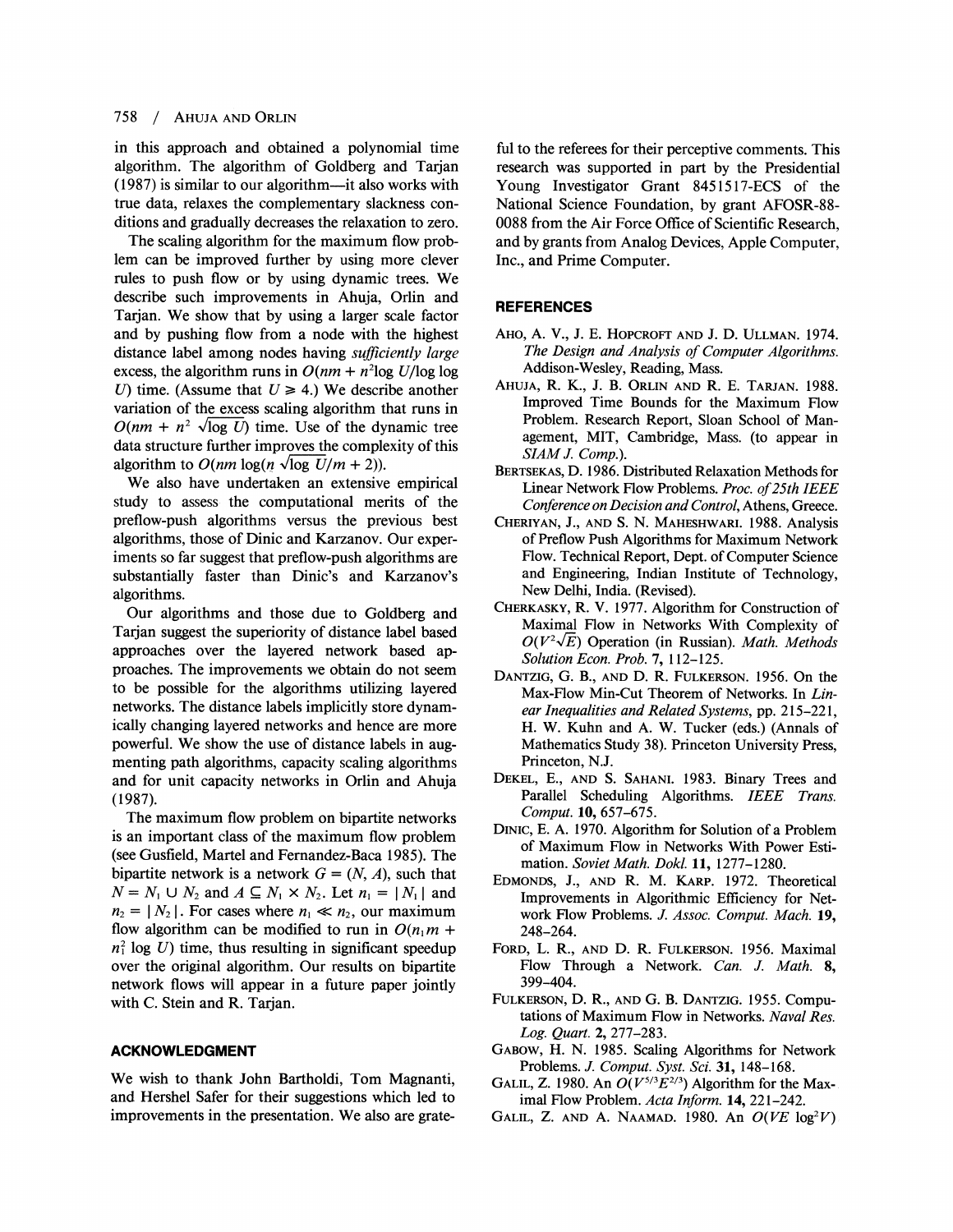in this approach and obtained a polynomial time algorithm. The algorithm of Goldberg and Tarjan  $(1987)$  is similar to our algorithm—it also works with true data, relaxes the complementary slackness conditions and gradually decreases the relaxation to zero.

The scaling algorithm for the maximum flow problem can be improved further by using more clever rules to push flow or by using dynamic trees. We describe such improvements in Ahuja, Orlin and Tarjan. We show that by using a larger scale factor and by pushing flow from a node with the highest distance label among nodes having *suficiently large*  excess, the algorithm runs in  $O(nm + n^2 \log U/\log \log n)$ U) time. (Assume that  $U \ge 4$ .) We describe another variation of the excess scaling algorithm that runs in  $O(nm + n^2 \sqrt{\log U})$  time. Use of the dynamic tree data structure further improves the complexity of this algorithm to  $O(nm \log(n \sqrt{\log U/m} + 2))$ .

We also have undertaken an extensive empirical study to assess the computational merits of the preflow-push algorithms versus the previous best algorithms, those of Dinic and Karzanov. Our experiments so far suggest that preflow-push algorithms are substantially faster than Dinic's and Karzanov's algorithms.

Our algorithms and those due to Goldberg and Tarjan suggest the superiority of distance label based approaches over the layered network based approaches. The improvements we obtain do not seem to be possible for the algorithms utilizing layered networks. The distance labels implicitly store dynamically changing layered networks and hence are more powerful. We show the use of distance labels in augmenting path algorithms, capacity scaling algorithms and for unit capacity networks in Orlin and Ahuja (1987).

The maximum flow problem on bipartite networks is an important class of the maximum flow problem (see Gusfield, Martel and Fernandez-Baca 1985). The bipartite network is a network  $G = (N, A)$ , such that  $N = N_1 \cup N_2$  and  $A \subseteq N_1 \times N_2$ . Let  $n_1 = |N_1|$  and  $n_2 = |N_2|$ . For cases where  $n_1 \ll n_2$ , our maximum flow algorithm can be modified to run in  $O(n_1m +$  $n_1^2$  log *U*) time, thus resulting in significant speedup over the original algorithm. Our results on bipartite network flows will appear in a future paper jointly with C. Stein and R. Tarjan.

#### **ACKNOWLEDGMENT**

We wish to thank John Bartholdi, Tom Magnanti, and Hershel Safer for their suggestions which led to improvements in the presentation. We also are grateful to the referees for their perceptive comments. This research was supported in part by the Presidential Young Investigator Grant 8451517-ECS of the National Science Foundation, by grant AFOSR-88- 0088 from the Air Force Ofice of Scientific Research, and by grants from Analog Devices, Apple Computer, Inc., and Prime Computer.

#### **REFERENCES**

- AHO, A. V., J. E. HOPCROFT AND J. D. ULLMAN. 1974. *The Design and Analysis of Computer Algorithms.*  Addison-Wesley, Reading, Mass.
- AHUJA, R. K., J. B. ORLIN AND R. E. TARJAN. 1988. Improved Time Bounds for the Maximum Flow Problem. Research Report, Sloan School of Management, MIT, Cambridge, Mass. (to appear in *SIAM* J. *Comp.).*
- BERTSEKAS, D. 1986. Distributed Relaxation Methods for Linear Network Flow Problems. *Proc. of 25th IEEE Conference on Decision and Control,* Athens, Greece.
- CHERIYAN, J., AND S. N. MAHESHWARI. 1988. Analysis of Preflow Push Algorithms for Maximum Network Flow. Technical Report, Dept. of Computer Science and Engineering, Indian Institute of Technology, New Delhi, India. (Revised).
- CHERKASKY, R. V. 1977. Algorithm for Construction of Maximal Flow in Networks With Complexity of  $O(V^2\sqrt{E})$  Operation (in Russian). *Math. Methods Solution Econ. Prob.* **7,** 1 12-125.
- DANTZIG,G. B., AND D. R. FULKERSON. 1956. On the Max-Flow Min-Cut Theorem of Networks. In *Linear Inequalities and Related Systems, pp. 215-221,* H. W. Kuhn and A. W. Tucker (eds.) (Annals of Mathematics Study 38). Princeton University Press, Princeton, N.J.
- DEKEL, E., AND S. SAHANI. 1983. Binary Trees and Parallel Scheduling Algorithms. *IEEE Trans. Comput.* 10,657-675.
- DINIC, E. A. 1970. Algorithm for Solution of a Problem of Maximum Flow in Networks With Power Estimation. *Soviet Math. Dokl.* 11, 1277- 1280.
- EDMONDS, J., AND R. M. KARP. 1972. Theoretical Improvements in Algorithmic Efficiency for Network Flow Problems. *J. Assoc. Comput. Mach.* 19, 248-264.
- FORD, L. R., AND D. R. FULKERSON. 1956. Maximal Flow Through a Network. *Can.* J. *Math.* **8,**  399-404.
- FULKERSON, D. R., AND G. B. DANTZIG. 1955. Computations of Maximum Flow in Networks. *Naval Res. Log. Quart.* **2,** 277-283.
- GABOW,H. N. 1985. Scaling Algorithms for Network Problems. J. *Comput. Syst. Sci.* 31, 148-168.
- GALIL, Z. 1980. An  $O(V^{5/3}E^{2/3})$  Algorithm for the Maximal Flow Problem. *Acta Inform.* 14,221-242.
- GALIL, Z. AND A. NAAMAD. 1980. An  $O(VE \log^2 V)$